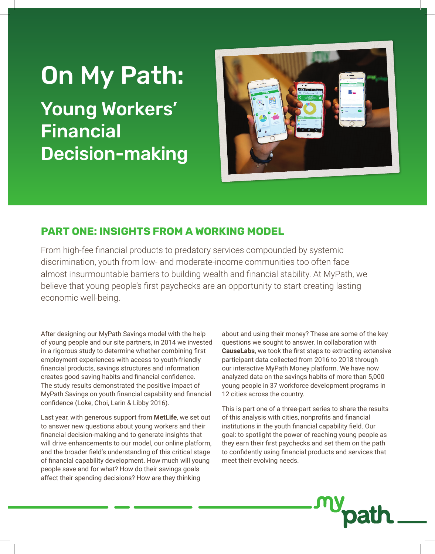# On My Path:

Young Workers' Financial Decision-making



## **PART ONE: INSIGHTS FROM A WORKING MODEL**

From high-fee financial products to predatory services compounded by systemic discrimination, youth from low- and moderate-income communities too often face almost insurmountable barriers to building wealth and financial stability. At MyPath, we believe that young people's first paychecks are an opportunity to start creating lasting economic well-being.

After designing our MyPath Savings model with the help of young people and our site partners, in 2014 we invested in a rigorous study to determine whether combining first employment experiences with access to youth-friendly financial products, savings structures and information creates good saving habits and financial confidence. The study results demonstrated the positive impact of MyPath Savings on youth financial capability and financial confidence (Loke, Choi, Larin & Libby 2016).

Last year, with generous support from **MetLife**, we set out to answer new questions about young workers and their financial decision-making and to generate insights that will drive enhancements to our model, our online platform, and the broader field's understanding of this critical stage of financial capability development. How much will young people save and for what? How do their savings goals affect their spending decisions? How are they thinking

about and using their money? These are some of the key questions we sought to answer. In collaboration with **CauseLabs**, we took the first steps to extracting extensive participant data collected from 2016 to 2018 through our interactive MyPath Money platform. We have now analyzed data on the savings habits of more than 5,000 young people in 37 workforce development programs in 12 cities across the country.

This is part one of a three-part series to share the results of this analysis with cities, nonprofits and financial institutions in the youth financial capability field. Our goal: to spotlight the power of reaching young people as they earn their first paychecks and set them on the path to confidently using financial products and services that meet their evolving needs.